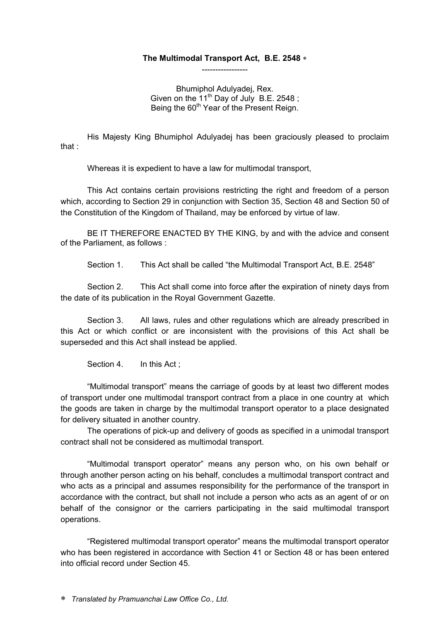#### **The Multimodal Transport Act, B.E. 2548**  -----------------

Bhumiphol Adulyadej, Rex. Given on the 11<sup>th</sup> Day of July B.E. 2548; Being the 60<sup>th</sup> Year of the Present Reign.

His Majesty King Bhumiphol Adulyadej has been graciously pleased to proclaim that :

Whereas it is expedient to have a law for multimodal transport,

This Act contains certain provisions restricting the right and freedom of a person which, according to Section 29 in conjunction with Section 35, Section 48 and Section 50 of the Constitution of the Kingdom of Thailand, may be enforced by virtue of law.

BE IT THEREFORE ENACTED BY THE KING, by and with the advice and consent of the Parliament, as follows :

Section 1. This Act shall be called "the Multimodal Transport Act, B.E. 2548"

Section 2. This Act shall come into force after the expiration of ninety days from the date of its publication in the Royal Government Gazette.

Section 3. All laws, rules and other regulations which are already prescribed in this Act or which conflict or are inconsistent with the provisions of this Act shall be superseded and this Act shall instead be applied.

Section 4. In this Act:

"Multimodal transport" means the carriage of goods by at least two different modes of transport under one multimodal transport contract from a place in one country at which the goods are taken in charge by the multimodal transport operator to a place designated for delivery situated in another country.

The operations of pick-up and delivery of goods as specified in a unimodal transport contract shall not be considered as multimodal transport.

"Multimodal transport operator" means any person who, on his own behalf or through another person acting on his behalf, concludes a multimodal transport contract and who acts as a principal and assumes responsibility for the performance of the transport in accordance with the contract, but shall not include a person who acts as an agent of or on behalf of the consignor or the carriers participating in the said multimodal transport operations.

"Registered multimodal transport operator" means the multimodal transport operator who has been registered in accordance with Section 41 or Section 48 or has been entered into official record under Section 45.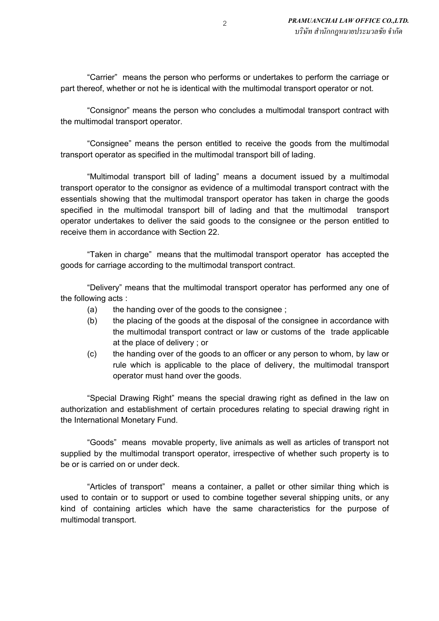"Carrier" means the person who performs or undertakes to perform the carriage or part thereof, whether or not he is identical with the multimodal transport operator or not.

"Consignor" means the person who concludes a multimodal transport contract with the multimodal transport operator.

"Consignee" means the person entitled to receive the goods from the multimodal transport operator as specified in the multimodal transport bill of lading.

"Multimodal transport bill of lading" means a document issued by a multimodal transport operator to the consignor as evidence of a multimodal transport contract with the essentials showing that the multimodal transport operator has taken in charge the goods specified in the multimodal transport bill of lading and that the multimodal transport operator undertakes to deliver the said goods to the consignee or the person entitled to receive them in accordance with Section 22.

"Taken in charge" means that the multimodal transport operator has accepted the goods for carriage according to the multimodal transport contract.

"Delivery" means that the multimodal transport operator has performed any one of the following acts :

- (a) the handing over of the goods to the consignee ;
- (b) the placing of the goods at the disposal of the consignee in accordance with the multimodal transport contract or law or customs of the trade applicable at the place of delivery ; or
- (c) the handing over of the goods to an officer or any person to whom, by law or rule which is applicable to the place of delivery, the multimodal transport operator must hand over the goods.

"Special Drawing Right" means the special drawing right as defined in the law on authorization and establishment of certain procedures relating to special drawing right in the International Monetary Fund.

"Goods" means movable property, live animals as well as articles of transport not supplied by the multimodal transport operator, irrespective of whether such property is to be or is carried on or under deck.

"Articles of transport" means a container, a pallet or other similar thing which is used to contain or to support or used to combine together several shipping units, or any kind of containing articles which have the same characteristics for the purpose of multimodal transport.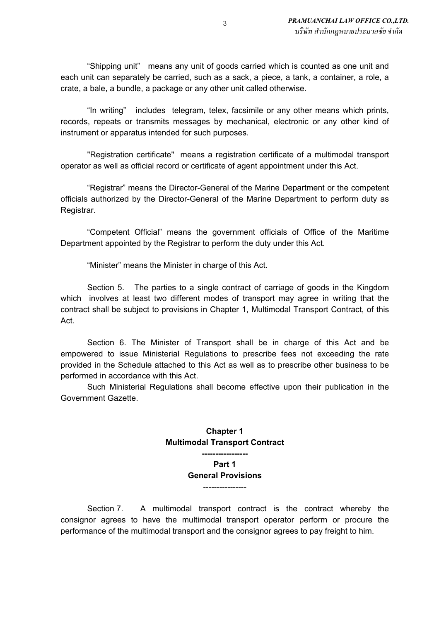"Shipping unit" means any unit of goods carried which is counted as one unit and each unit can separately be carried, such as a sack, a piece, a tank, a container, a role, a crate, a bale, a bundle, a package or any other unit called otherwise.

"In writing" includes telegram, telex, facsimile or any other means which prints, records, repeats or transmits messages by mechanical, electronic or any other kind of instrument or apparatus intended for such purposes.

"Registration certificate" means a registration certificate of a multimodal transport operator as well as official record or certificate of agent appointment under this Act.

"Registrar" means the Director-General of the Marine Department or the competent officials authorized by the Director-General of the Marine Department to perform duty as Registrar.

"Competent Official" means the government officials of Office of the Maritime Department appointed by the Registrar to perform the duty under this Act.

"Minister" means the Minister in charge of this Act.

Section 5. The parties to a single contract of carriage of goods in the Kingdom which involves at least two different modes of transport may agree in writing that the contract shall be subject to provisions in Chapter 1, Multimodal Transport Contract, of this Act.

Section 6. The Minister of Transport shall be in charge of this Act and be empowered to issue Ministerial Regulations to prescribe fees not exceeding the rate provided in the Schedule attached to this Act as well as to prescribe other business to be performed in accordance with this Act.

Such Ministerial Regulations shall become effective upon their publication in the Government Gazette.

### **Chapter 1 Multimodal Transport Contract**

**----------------- Part 1 General Provisions** ----------------

Section 7. A multimodal transport contract is the contract whereby the consignor agrees to have the multimodal transport operator perform or procure the performance of the multimodal transport and the consignor agrees to pay freight to him.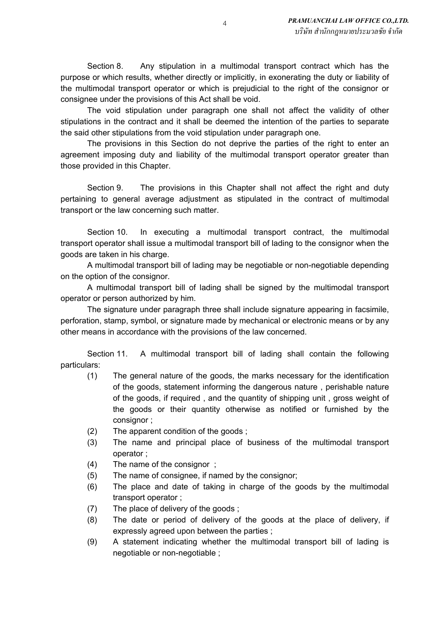Section 8. Any stipulation in a multimodal transport contract which has the purpose or which results, whether directly or implicitly, in exonerating the duty or liability of the multimodal transport operator or which is prejudicial to the right of the consignor or consignee under the provisions of this Act shall be void.

The void stipulation under paragraph one shall not affect the validity of other stipulations in the contract and it shall be deemed the intention of the parties to separate the said other stipulations from the void stipulation under paragraph one.

The provisions in this Section do not deprive the parties of the right to enter an agreement imposing duty and liability of the multimodal transport operator greater than those provided in this Chapter.

Section 9. The provisions in this Chapter shall not affect the right and duty pertaining to general average adjustment as stipulated in the contract of multimodal transport or the law concerning such matter.

Section 10. In executing a multimodal transport contract, the multimodal transport operator shall issue a multimodal transport bill of lading to the consignor when the goods are taken in his charge.

A multimodal transport bill of lading may be negotiable or non-negotiable depending on the option of the consignor.

A multimodal transport bill of lading shall be signed by the multimodal transport operator or person authorized by him.

The signature under paragraph three shall include signature appearing in facsimile, perforation, stamp, symbol, or signature made by mechanical or electronic means or by any other means in accordance with the provisions of the law concerned.

Section 11. A multimodal transport bill of lading shall contain the following particulars:

- (1) The general nature of the goods, the marks necessary for the identification of the goods, statement informing the dangerous nature , perishable nature of the goods, if required , and the quantity of shipping unit , gross weight of the goods or their quantity otherwise as notified or furnished by the consignor ;
- (2) The apparent condition of the goods ;
- (3) The name and principal place of business of the multimodal transport operator ;
- (4) The name of the consignor ;
- (5) The name of consignee, if named by the consignor;
- (6) The place and date of taking in charge of the goods by the multimodal transport operator ;
- (7) The place of delivery of the goods ;
- (8) The date or period of delivery of the goods at the place of delivery, if expressly agreed upon between the parties ;
- (9) A statement indicating whether the multimodal transport bill of lading is negotiable or non-negotiable ;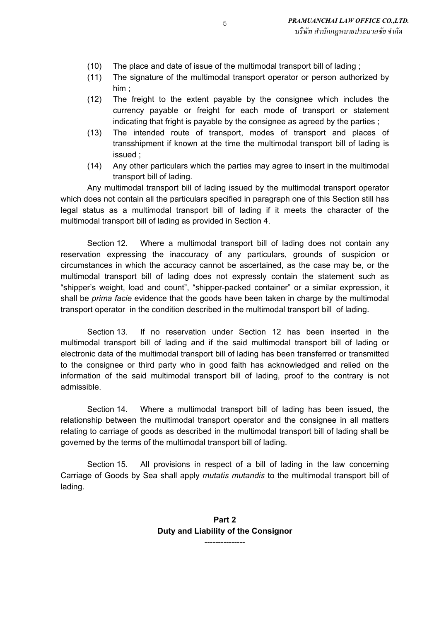- (10) The place and date of issue of the multimodal transport bill of lading ;
- (11) The signature of the multimodal transport operator or person authorized by him ;
- (12) The freight to the extent payable by the consignee which includes the currency payable or freight for each mode of transport or statement indicating that fright is payable by the consignee as agreed by the parties ;
- (13) The intended route of transport, modes of transport and places of transshipment if known at the time the multimodal transport bill of lading is issued ;
- (14) Any other particulars which the parties may agree to insert in the multimodal transport bill of lading.

Any multimodal transport bill of lading issued by the multimodal transport operator which does not contain all the particulars specified in paragraph one of this Section still has legal status as a multimodal transport bill of lading if it meets the character of the multimodal transport bill of lading as provided in Section 4.

Section 12. Where a multimodal transport bill of lading does not contain any reservation expressing the inaccuracy of any particulars, grounds of suspicion or circumstances in which the accuracy cannot be ascertained, as the case may be, or the multimodal transport bill of lading does not expressly contain the statement such as "shipper's weight, load and count", "shipper-packed container" or a similar expression, it shall be *prima facie* evidence that the goods have been taken in charge by the multimodal transport operator in the condition described in the multimodal transport bill of lading.

Section 13. If no reservation under Section 12 has been inserted in the multimodal transport bill of lading and if the said multimodal transport bill of lading or electronic data of the multimodal transport bill of lading has been transferred or transmitted to the consignee or third party who in good faith has acknowledged and relied on the information of the said multimodal transport bill of lading, proof to the contrary is not admissible.

Section 14. Where a multimodal transport bill of lading has been issued, the relationship between the multimodal transport operator and the consignee in all matters relating to carriage of goods as described in the multimodal transport bill of lading shall be governed by the terms of the multimodal transport bill of lading.

Section 15. All provisions in respect of a bill of lading in the law concerning Carriage of Goods by Sea shall apply *mutatis mutandis* to the multimodal transport bill of lading.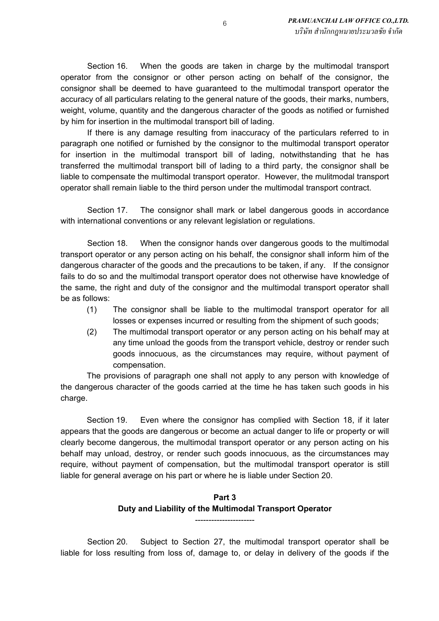Section 16. When the goods are taken in charge by the multimodal transport operator from the consignor or other person acting on behalf of the consignor, the consignor shall be deemed to have guaranteed to the multimodal transport operator the accuracy of all particulars relating to the general nature of the goods, their marks, numbers, weight, volume, quantity and the dangerous character of the goods as notified or furnished by him for insertion in the multimodal transport bill of lading.

If there is any damage resulting from inaccuracy of the particulars referred to in paragraph one notified or furnished by the consignor to the multimodal transport operator for insertion in the multimodal transport bill of lading, notwithstanding that he has transferred the multimodal transport bill of lading to a third party, the consignor shall be liable to compensate the multimodal transport operator. However, the mulitmodal transport operator shall remain liable to the third person under the multimodal transport contract.

Section 17. The consignor shall mark or label dangerous goods in accordance with international conventions or any relevant legislation or regulations.

Section 18. When the consignor hands over dangerous goods to the multimodal transport operator or any person acting on his behalf, the consignor shall inform him of the dangerous character of the goods and the precautions to be taken, if any. If the consignor fails to do so and the multimodal transport operator does not otherwise have knowledge of the same, the right and duty of the consignor and the multimodal transport operator shall be as follows:

- (1) The consignor shall be liable to the multimodal transport operator for all losses or expenses incurred or resulting from the shipment of such goods;
- (2) The multimodal transport operator or any person acting on his behalf may at any time unload the goods from the transport vehicle, destroy or render such goods innocuous, as the circumstances may require, without payment of compensation.

The provisions of paragraph one shall not apply to any person with knowledge of the dangerous character of the goods carried at the time he has taken such goods in his charge.

Section 19. Even where the consignor has complied with Section 18, if it later appears that the goods are dangerous or become an actual danger to life or property or will clearly become dangerous, the multimodal transport operator or any person acting on his behalf may unload, destroy, or render such goods innocuous, as the circumstances may require, without payment of compensation, but the multimodal transport operator is still liable for general average on his part or where he is liable under Section 20.

## **Part 3 Duty and Liability of the Multimodal Transport Operator**

----------------------

Section 20. Subject to Section 27, the multimodal transport operator shall be liable for loss resulting from loss of, damage to, or delay in delivery of the goods if the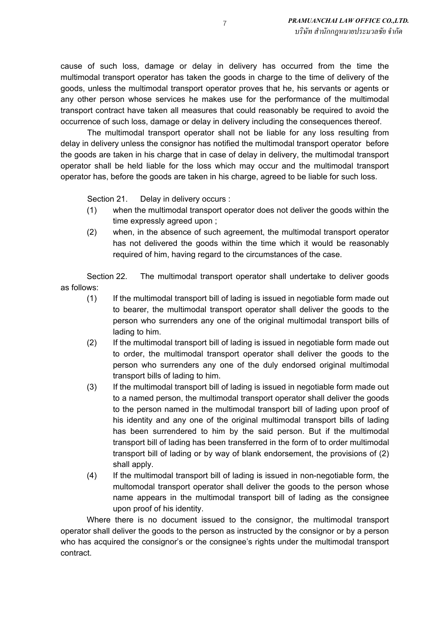cause of such loss, damage or delay in delivery has occurred from the time the multimodal transport operator has taken the goods in charge to the time of delivery of the goods, unless the multimodal transport operator proves that he, his servants or agents or any other person whose services he makes use for the performance of the multimodal transport contract have taken all measures that could reasonably be required to avoid the occurrence of such loss, damage or delay in delivery including the consequences thereof.

The multimodal transport operator shall not be liable for any loss resulting from delay in delivery unless the consignor has notified the multimodal transport operator before the goods are taken in his charge that in case of delay in delivery, the multimodal transport operator shall be held liable for the loss which may occur and the multimodal transport operator has, before the goods are taken in his charge, agreed to be liable for such loss.

Section 21. Delay in delivery occurs :

- (1) when the multimodal transport operator does not deliver the goods within the time expressly agreed upon ;
- (2) when, in the absence of such agreement, the multimodal transport operator has not delivered the goods within the time which it would be reasonably required of him, having regard to the circumstances of the case.

Section 22. The multimodal transport operator shall undertake to deliver goods as follows:

- (1) If the multimodal transport bill of lading is issued in negotiable form made out to bearer, the multimodal transport operator shall deliver the goods to the person who surrenders any one of the original multimodal transport bills of lading to him.
- (2) If the multimodal transport bill of lading is issued in negotiable form made out to order, the multimodal transport operator shall deliver the goods to the person who surrenders any one of the duly endorsed original multimodal transport bills of lading to him.
- (3) If the multimodal transport bill of lading is issued in negotiable form made out to a named person, the multimodal transport operator shall deliver the goods to the person named in the multimodal transport bill of lading upon proof of his identity and any one of the original multimodal transport bills of lading has been surrendered to him by the said person. But if the multimodal transport bill of lading has been transferred in the form of to order multimodal transport bill of lading or by way of blank endorsement, the provisions of (2) shall apply.
- (4) If the multimodal transport bill of lading is issued in non-negotiable form, the multomodal transport operator shall deliver the goods to the person whose name appears in the multimodal transport bill of lading as the consignee upon proof of his identity.

Where there is no document issued to the consignor, the multimodal transport operator shall deliver the goods to the person as instructed by the consignor or by a person who has acquired the consignor's or the consignee's rights under the multimodal transport contract.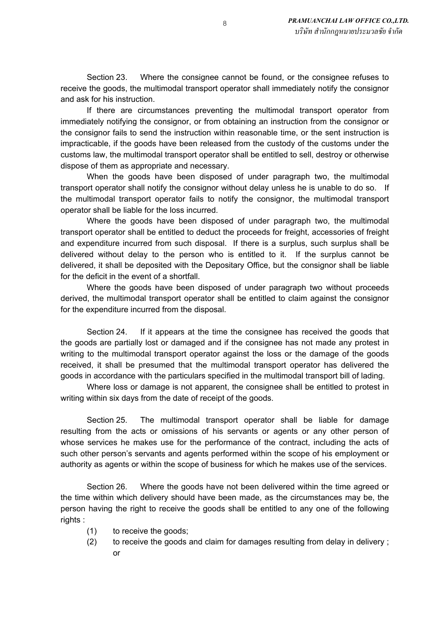Section 23. Where the consignee cannot be found, or the consignee refuses to receive the goods, the multimodal transport operator shall immediately notify the consignor and ask for his instruction.

If there are circumstances preventing the multimodal transport operator from immediately notifying the consignor, or from obtaining an instruction from the consignor or the consignor fails to send the instruction within reasonable time, or the sent instruction is impracticable, if the goods have been released from the custody of the customs under the customs law, the multimodal transport operator shall be entitled to sell, destroy or otherwise dispose of them as appropriate and necessary.

When the goods have been disposed of under paragraph two, the multimodal transport operator shall notify the consignor without delay unless he is unable to do so. If the multimodal transport operator fails to notify the consignor, the multimodal transport operator shall be liable for the loss incurred.

Where the goods have been disposed of under paragraph two, the multimodal transport operator shall be entitled to deduct the proceeds for freight, accessories of freight and expenditure incurred from such disposal. If there is a surplus, such surplus shall be delivered without delay to the person who is entitled to it. If the surplus cannot be delivered, it shall be deposited with the Depositary Office, but the consignor shall be liable for the deficit in the event of a shortfall.

Where the goods have been disposed of under paragraph two without proceeds derived, the multimodal transport operator shall be entitled to claim against the consignor for the expenditure incurred from the disposal.

Section 24. If it appears at the time the consignee has received the goods that the goods are partially lost or damaged and if the consignee has not made any protest in writing to the multimodal transport operator against the loss or the damage of the goods received, it shall be presumed that the multimodal transport operator has delivered the goods in accordance with the particulars specified in the multimodal transport bill of lading.

Where loss or damage is not apparent, the consignee shall be entitled to protest in writing within six days from the date of receipt of the goods.

Section 25. The multimodal transport operator shall be liable for damage resulting from the acts or omissions of his servants or agents or any other person of whose services he makes use for the performance of the contract, including the acts of such other person's servants and agents performed within the scope of his employment or authority as agents or within the scope of business for which he makes use of the services.

Section 26. Where the goods have not been delivered within the time agreed or the time within which delivery should have been made, as the circumstances may be, the person having the right to receive the goods shall be entitled to any one of the following rights :

- (1) to receive the goods;
- (2) to receive the goods and claim for damages resulting from delay in delivery ; or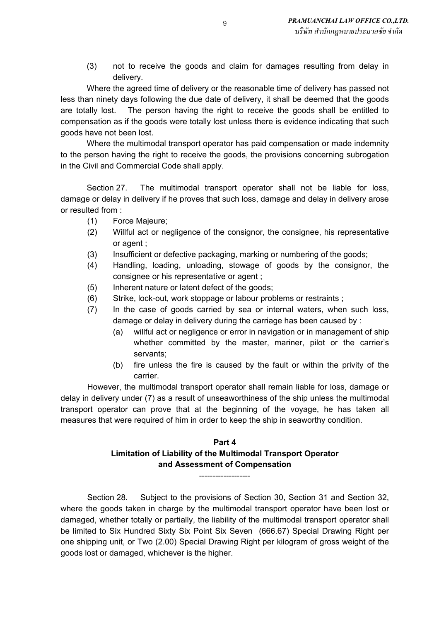(3) not to receive the goods and claim for damages resulting from delay in delivery.

Where the agreed time of delivery or the reasonable time of delivery has passed not less than ninety days following the due date of delivery, it shall be deemed that the goods are totally lost. The person having the right to receive the goods shall be entitled to compensation as if the goods were totally lost unless there is evidence indicating that such goods have not been lost.

Where the multimodal transport operator has paid compensation or made indemnity to the person having the right to receive the goods, the provisions concerning subrogation in the Civil and Commercial Code shall apply.

Section 27. The multimodal transport operator shall not be liable for loss, damage or delay in delivery if he proves that such loss, damage and delay in delivery arose or resulted from :

- (1) Force Majeure;
- (2) Willful act or negligence of the consignor, the consignee, his representative or agent ;
- (3) Insufficient or defective packaging, marking or numbering of the goods;
- (4) Handling, loading, unloading, stowage of goods by the consignor, the consignee or his representative or agent ;
- (5) Inherent nature or latent defect of the goods;
- (6) Strike, lock-out, work stoppage or labour problems or restraints ;
- (7) In the case of goods carried by sea or internal waters, when such loss, damage or delay in delivery during the carriage has been caused by :
	- (a) willful act or negligence or error in navigation or in management of ship whether committed by the master, mariner, pilot or the carrier's servants;
	- (b) fire unless the fire is caused by the fault or within the privity of the carrier.

However, the multimodal transport operator shall remain liable for loss, damage or delay in delivery under (7) as a result of unseaworthiness of the ship unless the multimodal transport operator can prove that at the beginning of the voyage, he has taken all measures that were required of him in order to keep the ship in seaworthy condition.

## **Part 4 Limitation of Liability of the Multimodal Transport Operator and Assessment of Compensation**

Section 28. Subject to the provisions of Section 30, Section 31 and Section 32, where the goods taken in charge by the multimodal transport operator have been lost or damaged, whether totally or partially, the liability of the multimodal transport operator shall be limited to Six Hundred Sixty Six Point Six Seven (666.67) Special Drawing Right per one shipping unit, or Two (2.00) Special Drawing Right per kilogram of gross weight of the goods lost or damaged, whichever is the higher.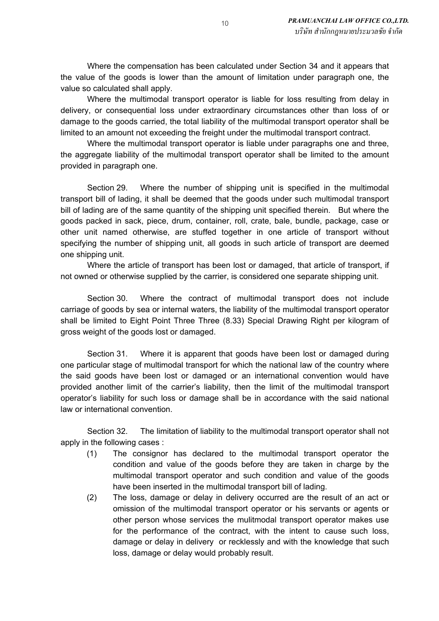Where the compensation has been calculated under Section 34 and it appears that the value of the goods is lower than the amount of limitation under paragraph one, the value so calculated shall apply.

Where the multimodal transport operator is liable for loss resulting from delay in delivery, or consequential loss under extraordinary circumstances other than loss of or damage to the goods carried, the total liability of the multimodal transport operator shall be limited to an amount not exceeding the freight under the multimodal transport contract.

Where the multimodal transport operator is liable under paragraphs one and three, the aggregate liability of the multimodal transport operator shall be limited to the amount provided in paragraph one.

Section 29. Where the number of shipping unit is specified in the multimodal transport bill of lading, it shall be deemed that the goods under such multimodal transport bill of lading are of the same quantity of the shipping unit specified therein. But where the goods packed in sack, piece, drum, container, roll, crate, bale, bundle, package, case or other unit named otherwise, are stuffed together in one article of transport without specifying the number of shipping unit, all goods in such article of transport are deemed one shipping unit.

Where the article of transport has been lost or damaged, that article of transport, if not owned or otherwise supplied by the carrier, is considered one separate shipping unit.

Section 30. Where the contract of multimodal transport does not include carriage of goods by sea or internal waters, the liability of the multimodal transport operator shall be limited to Eight Point Three Three (8.33) Special Drawing Right per kilogram of gross weight of the goods lost or damaged.

Section 31. Where it is apparent that goods have been lost or damaged during one particular stage of multimodal transport for which the national law of the country where the said goods have been lost or damaged or an international convention would have provided another limit of the carrier's liability, then the limit of the multimodal transport operator's liability for such loss or damage shall be in accordance with the said national law or international convention.

Section 32. The limitation of liability to the multimodal transport operator shall not apply in the following cases :

- (1) The consignor has declared to the multimodal transport operator the condition and value of the goods before they are taken in charge by the multimodal transport operator and such condition and value of the goods have been inserted in the multimodal transport bill of lading.
- (2) The loss, damage or delay in delivery occurred are the result of an act or omission of the multimodal transport operator or his servants or agents or other person whose services the mulitmodal transport operator makes use for the performance of the contract, with the intent to cause such loss, damage or delay in delivery or recklessly and with the knowledge that such loss, damage or delay would probably result.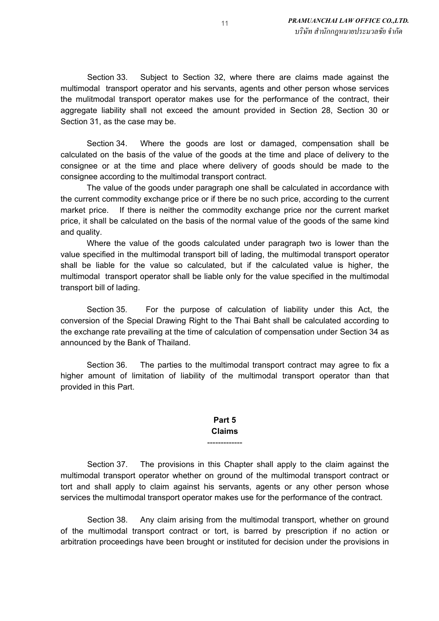Section 33. Subject to Section 32, where there are claims made against the multimodal transport operator and his servants, agents and other person whose services the mulitmodal transport operator makes use for the performance of the contract, their aggregate liability shall not exceed the amount provided in Section 28, Section 30 or Section 31, as the case may be.

Section 34. Where the goods are lost or damaged, compensation shall be calculated on the basis of the value of the goods at the time and place of delivery to the consignee or at the time and place where delivery of goods should be made to the consignee according to the multimodal transport contract.

The value of the goods under paragraph one shall be calculated in accordance with the current commodity exchange price or if there be no such price, according to the current market price. If there is neither the commodity exchange price nor the current market price, it shall be calculated on the basis of the normal value of the goods of the same kind and quality.

Where the value of the goods calculated under paragraph two is lower than the value specified in the multimodal transport bill of lading, the multimodal transport operator shall be liable for the value so calculated, but if the calculated value is higher, the multimodal transport operator shall be liable only for the value specified in the multimodal transport bill of lading.

Section 35. For the purpose of calculation of liability under this Act, the conversion of the Special Drawing Right to the Thai Baht shall be calculated according to the exchange rate prevailing at the time of calculation of compensation under Section 34 as announced by the Bank of Thailand.

Section 36. The parties to the multimodal transport contract may agree to fix a higher amount of limitation of liability of the multimodal transport operator than that provided in this Part.

#### **Part 5 Claims** -------------

Section 37. The provisions in this Chapter shall apply to the claim against the multimodal transport operator whether on ground of the multimodal transport contract or tort and shall apply to claim against his servants, agents or any other person whose services the multimodal transport operator makes use for the performance of the contract.

Section 38. Any claim arising from the multimodal transport, whether on ground of the multimodal transport contract or tort, is barred by prescription if no action or arbitration proceedings have been brought or instituted for decision under the provisions in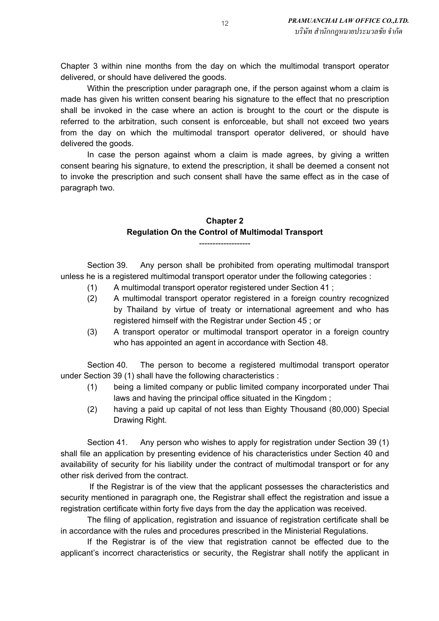Chapter 3 within nine months from the day on which the multimodal transport operator delivered, or should have delivered the goods.

Within the prescription under paragraph one, if the person against whom a claim is made has given his written consent bearing his signature to the effect that no prescription shall be invoked in the case where an action is brought to the court or the dispute is referred to the arbitration, such consent is enforceable, but shall not exceed two years from the day on which the multimodal transport operator delivered, or should have delivered the goods.

In case the person against whom a claim is made agrees, by giving a written consent bearing his signature, to extend the prescription, it shall be deemed a consent not to invoke the prescription and such consent shall have the same effect as in the case of paragraph two.

### **Chapter 2 Regulation On the Control of Multimodal Transport**

-------------------

Section 39. Any person shall be prohibited from operating multimodal transport unless he is a registered multimodal transport operator under the following categories :

- (1) A multimodal transport operator registered under Section 41 ;
- (2) A multimodal transport operator registered in a foreign country recognized by Thailand by virtue of treaty or international agreement and who has registered himself with the Registrar under Section 45 ; or
- (3) A transport operator or multimodal transport operator in a foreign country who has appointed an agent in accordance with Section 48.

Section 40. The person to become a registered multimodal transport operator under Section 39 (1) shall have the following characteristics :

- (1) being a limited company or public limited company incorporated under Thai laws and having the principal office situated in the Kingdom ;
- (2) having a paid up capital of not less than Eighty Thousand (80,000) Special Drawing Right.

Section 41. Any person who wishes to apply for registration under Section 39 (1) shall file an application by presenting evidence of his characteristics under Section 40 and availability of security for his liability under the contract of multimodal transport or for any other risk derived from the contract.

 If the Registrar is of the view that the applicant possesses the characteristics and security mentioned in paragraph one, the Registrar shall effect the registration and issue a registration certificate within forty five days from the day the application was received.

The filing of application, registration and issuance of registration certificate shall be in accordance with the rules and procedures prescribed in the Ministerial Regulations.

If the Registrar is of the view that registration cannot be effected due to the applicant's incorrect characteristics or security, the Registrar shall notify the applicant in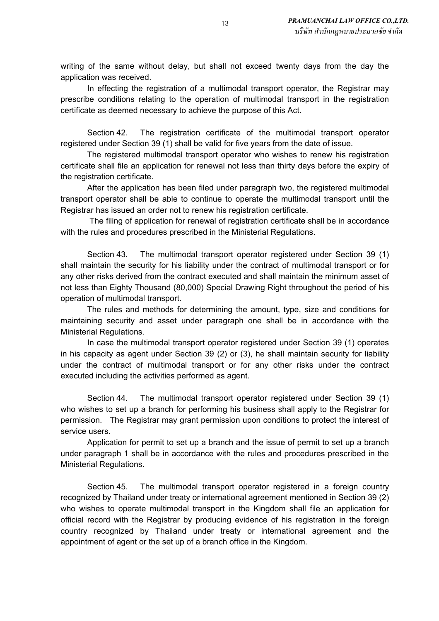writing of the same without delay, but shall not exceed twenty days from the day the application was received.

In effecting the registration of a multimodal transport operator, the Registrar may prescribe conditions relating to the operation of multimodal transport in the registration certificate as deemed necessary to achieve the purpose of this Act.

Section 42. The registration certificate of the multimodal transport operator registered under Section 39 (1) shall be valid for five years from the date of issue.

The registered multimodal transport operator who wishes to renew his registration certificate shall file an application for renewal not less than thirty days before the expiry of the registration certificate.

After the application has been filed under paragraph two, the registered multimodal transport operator shall be able to continue to operate the multimodal transport until the Registrar has issued an order not to renew his registration certificate.

 The filing of application for renewal of registration certificate shall be in accordance with the rules and procedures prescribed in the Ministerial Regulations.

Section 43. The multimodal transport operator registered under Section 39 (1) shall maintain the security for his liability under the contract of multimodal transport or for any other risks derived from the contract executed and shall maintain the minimum asset of not less than Eighty Thousand (80,000) Special Drawing Right throughout the period of his operation of multimodal transport.

The rules and methods for determining the amount, type, size and conditions for maintaining security and asset under paragraph one shall be in accordance with the Ministerial Regulations.

In case the multimodal transport operator registered under Section 39 (1) operates in his capacity as agent under Section 39 (2) or (3), he shall maintain security for liability under the contract of multimodal transport or for any other risks under the contract executed including the activities performed as agent.

Section 44. The multimodal transport operator registered under Section 39 (1) who wishes to set up a branch for performing his business shall apply to the Registrar for permission. The Registrar may grant permission upon conditions to protect the interest of service users.

Application for permit to set up a branch and the issue of permit to set up a branch under paragraph 1 shall be in accordance with the rules and procedures prescribed in the Ministerial Regulations.

Section 45. The multimodal transport operator registered in a foreign country recognized by Thailand under treaty or international agreement mentioned in Section 39 (2) who wishes to operate multimodal transport in the Kingdom shall file an application for official record with the Registrar by producing evidence of his registration in the foreign country recognized by Thailand under treaty or international agreement and the appointment of agent or the set up of a branch office in the Kingdom.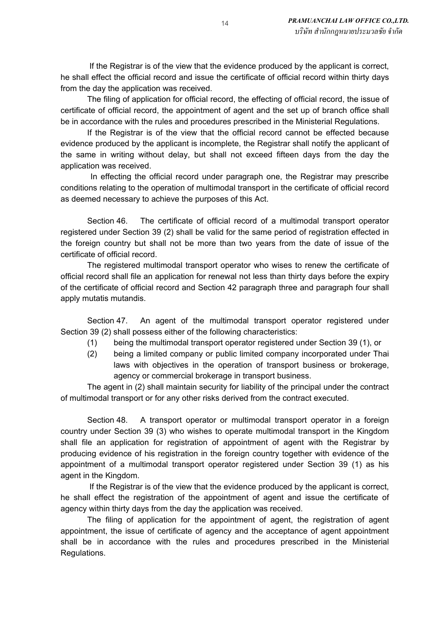If the Registrar is of the view that the evidence produced by the applicant is correct, he shall effect the official record and issue the certificate of official record within thirty days from the day the application was received.

The filing of application for official record, the effecting of official record, the issue of certificate of official record, the appointment of agent and the set up of branch office shall be in accordance with the rules and procedures prescribed in the Ministerial Regulations.

If the Registrar is of the view that the official record cannot be effected because evidence produced by the applicant is incomplete, the Registrar shall notify the applicant of the same in writing without delay, but shall not exceed fifteen days from the day the application was received.

 In effecting the official record under paragraph one, the Registrar may prescribe conditions relating to the operation of multimodal transport in the certificate of official record as deemed necessary to achieve the purposes of this Act.

Section 46. The certificate of official record of a multimodal transport operator registered under Section 39 (2) shall be valid for the same period of registration effected in the foreign country but shall not be more than two years from the date of issue of the certificate of official record.

The registered multimodal transport operator who wises to renew the certificate of official record shall file an application for renewal not less than thirty days before the expiry of the certificate of official record and Section 42 paragraph three and paragraph four shall apply mutatis mutandis.

Section 47. An agent of the multimodal transport operator registered under Section 39 (2) shall possess either of the following characteristics:

- (1) being the multimodal transport operator registered under Section 39 (1), or
- (2) being a limited company or public limited company incorporated under Thai laws with objectives in the operation of transport business or brokerage, agency or commercial brokerage in transport business.

The agent in (2) shall maintain security for liability of the principal under the contract of multimodal transport or for any other risks derived from the contract executed.

Section 48. A transport operator or multimodal transport operator in a foreign country under Section 39 (3) who wishes to operate multimodal transport in the Kingdom shall file an application for registration of appointment of agent with the Registrar by producing evidence of his registration in the foreign country together with evidence of the appointment of a multimodal transport operator registered under Section 39 (1) as his agent in the Kingdom.

 If the Registrar is of the view that the evidence produced by the applicant is correct, he shall effect the registration of the appointment of agent and issue the certificate of agency within thirty days from the day the application was received.

The filing of application for the appointment of agent, the registration of agent appointment, the issue of certificate of agency and the acceptance of agent appointment shall be in accordance with the rules and procedures prescribed in the Ministerial Regulations.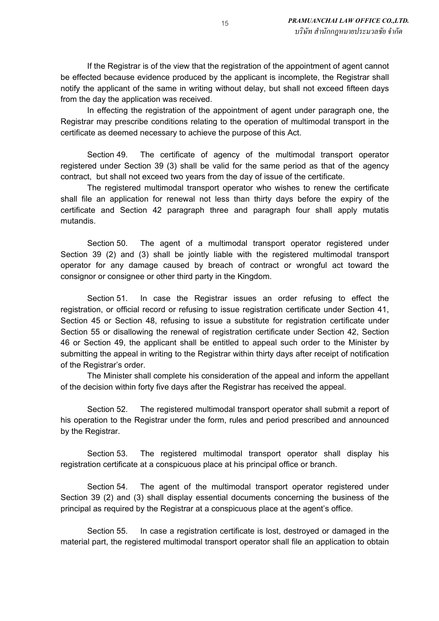If the Registrar is of the view that the registration of the appointment of agent cannot be effected because evidence produced by the applicant is incomplete, the Registrar shall notify the applicant of the same in writing without delay, but shall not exceed fifteen days from the day the application was received.

In effecting the registration of the appointment of agent under paragraph one, the Registrar may prescribe conditions relating to the operation of multimodal transport in the certificate as deemed necessary to achieve the purpose of this Act.

Section 49. The certificate of agency of the multimodal transport operator registered under Section 39 (3) shall be valid for the same period as that of the agency contract, but shall not exceed two years from the day of issue of the certificate.

The registered multimodal transport operator who wishes to renew the certificate shall file an application for renewal not less than thirty days before the expiry of the certificate and Section 42 paragraph three and paragraph four shall apply mutatis mutandis.

Section 50. The agent of a multimodal transport operator registered under Section 39 (2) and (3) shall be jointly liable with the registered multimodal transport operator for any damage caused by breach of contract or wrongful act toward the consignor or consignee or other third party in the Kingdom.

Section 51. In case the Registrar issues an order refusing to effect the registration, or official record or refusing to issue registration certificate under Section 41, Section 45 or Section 48, refusing to issue a substitute for registration certificate under Section 55 or disallowing the renewal of registration certificate under Section 42, Section 46 or Section 49, the applicant shall be entitled to appeal such order to the Minister by submitting the appeal in writing to the Registrar within thirty days after receipt of notification of the Registrar's order.

The Minister shall complete his consideration of the appeal and inform the appellant of the decision within forty five days after the Registrar has received the appeal.

Section 52. The registered multimodal transport operator shall submit a report of his operation to the Registrar under the form, rules and period prescribed and announced by the Registrar.

Section 53. The registered multimodal transport operator shall display his registration certificate at a conspicuous place at his principal office or branch.

Section 54. The agent of the multimodal transport operator registered under Section 39 (2) and (3) shall display essential documents concerning the business of the principal as required by the Registrar at a conspicuous place at the agent's office.

Section 55. In case a registration certificate is lost, destroyed or damaged in the material part, the registered multimodal transport operator shall file an application to obtain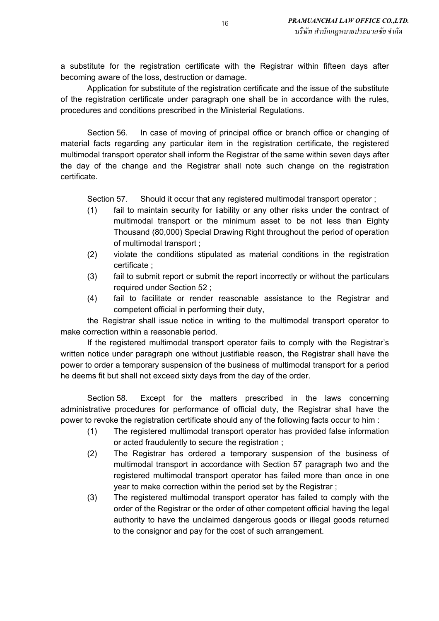a substitute for the registration certificate with the Registrar within fifteen days after becoming aware of the loss, destruction or damage.

Application for substitute of the registration certificate and the issue of the substitute of the registration certificate under paragraph one shall be in accordance with the rules, procedures and conditions prescribed in the Ministerial Regulations.

Section 56. In case of moving of principal office or branch office or changing of material facts regarding any particular item in the registration certificate, the registered multimodal transport operator shall inform the Registrar of the same within seven days after the day of the change and the Registrar shall note such change on the registration certificate.

Section 57. Should it occur that any registered multimodal transport operator ;

- (1) fail to maintain security for liability or any other risks under the contract of multimodal transport or the minimum asset to be not less than Eighty Thousand (80,000) Special Drawing Right throughout the period of operation of multimodal transport ;
- (2) violate the conditions stipulated as material conditions in the registration certificate ;
- (3) fail to submit report or submit the report incorrectly or without the particulars required under Section 52 ;
- (4) fail to facilitate or render reasonable assistance to the Registrar and competent official in performing their duty,

the Registrar shall issue notice in writing to the multimodal transport operator to make correction within a reasonable period.

If the registered multimodal transport operator fails to comply with the Registrar's written notice under paragraph one without justifiable reason, the Registrar shall have the power to order a temporary suspension of the business of multimodal transport for a period he deems fit but shall not exceed sixty days from the day of the order.

Section 58. Except for the matters prescribed in the laws concerning administrative procedures for performance of official duty, the Registrar shall have the power to revoke the registration certificate should any of the following facts occur to him :

- (1) The registered multimodal transport operator has provided false information or acted fraudulently to secure the registration ;
- (2) The Registrar has ordered a temporary suspension of the business of multimodal transport in accordance with Section 57 paragraph two and the registered multimodal transport operator has failed more than once in one year to make correction within the period set by the Registrar ;
- (3) The registered multimodal transport operator has failed to comply with the order of the Registrar or the order of other competent official having the legal authority to have the unclaimed dangerous goods or illegal goods returned to the consignor and pay for the cost of such arrangement.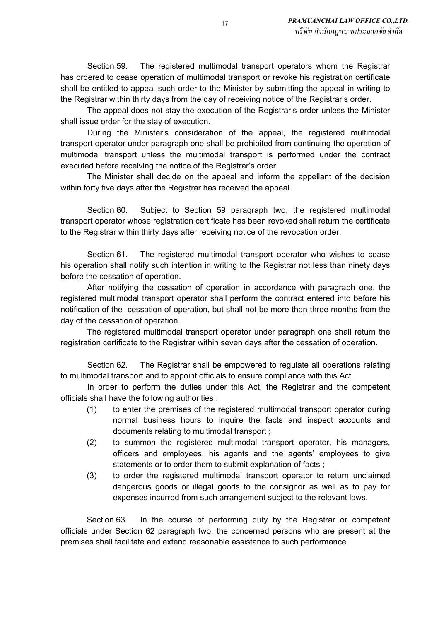Section 59. The registered multimodal transport operators whom the Registrar has ordered to cease operation of multimodal transport or revoke his registration certificate shall be entitled to appeal such order to the Minister by submitting the appeal in writing to the Registrar within thirty days from the day of receiving notice of the Registrar's order.

The appeal does not stay the execution of the Registrar's order unless the Minister shall issue order for the stay of execution.

During the Minister's consideration of the appeal, the registered multimodal transport operator under paragraph one shall be prohibited from continuing the operation of multimodal transport unless the multimodal transport is performed under the contract executed before receiving the notice of the Registrar's order.

The Minister shall decide on the appeal and inform the appellant of the decision within forty five days after the Registrar has received the appeal.

Section 60. Subject to Section 59 paragraph two, the registered multimodal transport operator whose registration certificate has been revoked shall return the certificate to the Registrar within thirty days after receiving notice of the revocation order.

Section 61. The registered multimodal transport operator who wishes to cease his operation shall notify such intention in writing to the Registrar not less than ninety days before the cessation of operation.

After notifying the cessation of operation in accordance with paragraph one, the registered multimodal transport operator shall perform the contract entered into before his notification of the cessation of operation, but shall not be more than three months from the day of the cessation of operation.

The registered multimodal transport operator under paragraph one shall return the registration certificate to the Registrar within seven days after the cessation of operation.

Section 62. The Registrar shall be empowered to regulate all operations relating to multimodal transport and to appoint officials to ensure compliance with this Act.

In order to perform the duties under this Act, the Registrar and the competent officials shall have the following authorities :

- (1) to enter the premises of the registered multimodal transport operator during normal business hours to inquire the facts and inspect accounts and documents relating to multimodal transport ;
- (2) to summon the registered multimodal transport operator, his managers, officers and employees, his agents and the agents' employees to give statements or to order them to submit explanation of facts ;
- (3) to order the registered multimodal transport operator to return unclaimed dangerous goods or illegal goods to the consignor as well as to pay for expenses incurred from such arrangement subject to the relevant laws.

Section 63. In the course of performing duty by the Registrar or competent officials under Section 62 paragraph two, the concerned persons who are present at the premises shall facilitate and extend reasonable assistance to such performance.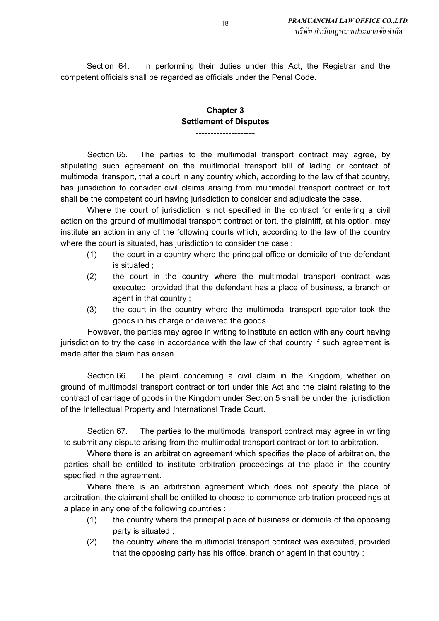Section 64. In performing their duties under this Act, the Registrar and the competent officials shall be regarded as officials under the Penal Code.

### **Chapter 3 Settlement of Disputes**

--------------------

Section 65. The parties to the multimodal transport contract may agree, by stipulating such agreement on the multimodal transport bill of lading or contract of multimodal transport, that a court in any country which, according to the law of that country, has jurisdiction to consider civil claims arising from multimodal transport contract or tort shall be the competent court having jurisdiction to consider and adjudicate the case.

Where the court of jurisdiction is not specified in the contract for entering a civil action on the ground of multimodal transport contract or tort, the plaintiff, at his option, may institute an action in any of the following courts which, according to the law of the country where the court is situated, has jurisdiction to consider the case :

- (1) the court in a country where the principal office or domicile of the defendant is situated ;
- (2) the court in the country where the multimodal transport contract was executed, provided that the defendant has a place of business, a branch or agent in that country ;
- (3) the court in the country where the multimodal transport operator took the goods in his charge or delivered the goods.

However, the parties may agree in writing to institute an action with any court having jurisdiction to try the case in accordance with the law of that country if such agreement is made after the claim has arisen.

Section 66. The plaint concerning a civil claim in the Kingdom, whether on ground of multimodal transport contract or tort under this Act and the plaint relating to the contract of carriage of goods in the Kingdom under Section 5 shall be under the jurisdiction of the Intellectual Property and International Trade Court.

Section 67. The parties to the multimodal transport contract may agree in writing to submit any dispute arising from the multimodal transport contract or tort to arbitration.

Where there is an arbitration agreement which specifies the place of arbitration, the parties shall be entitled to institute arbitration proceedings at the place in the country specified in the agreement.

Where there is an arbitration agreement which does not specify the place of arbitration, the claimant shall be entitled to choose to commence arbitration proceedings at a place in any one of the following countries :

- (1) the country where the principal place of business or domicile of the opposing party is situated ;
- (2) the country where the multimodal transport contract was executed, provided that the opposing party has his office, branch or agent in that country ;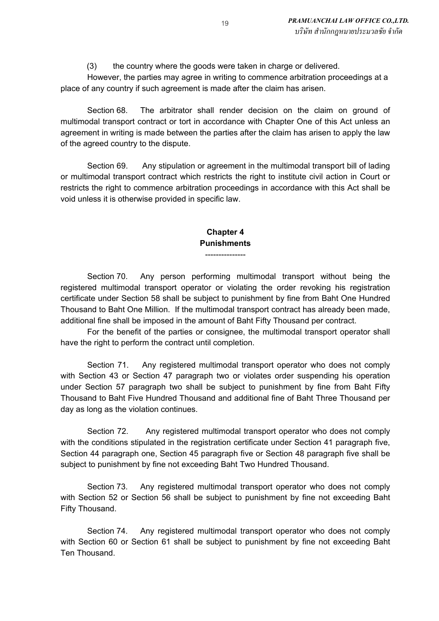(3) the country where the goods were taken in charge or delivered.

However, the parties may agree in writing to commence arbitration proceedings at a place of any country if such agreement is made after the claim has arisen.

Section 68. The arbitrator shall render decision on the claim on ground of multimodal transport contract or tort in accordance with Chapter One of this Act unless an agreement in writing is made between the parties after the claim has arisen to apply the law of the agreed country to the dispute.

Section 69. Any stipulation or agreement in the multimodal transport bill of lading or multimodal transport contract which restricts the right to institute civil action in Court or restricts the right to commence arbitration proceedings in accordance with this Act shall be void unless it is otherwise provided in specific law.

### **Chapter 4 Punishments**

---------------

Section 70. Any person performing multimodal transport without being the registered multimodal transport operator or violating the order revoking his registration certificate under Section 58 shall be subject to punishment by fine from Baht One Hundred Thousand to Baht One Million. If the multimodal transport contract has already been made, additional fine shall be imposed in the amount of Baht Fifty Thousand per contract.

For the benefit of the parties or consignee, the multimodal transport operator shall have the right to perform the contract until completion.

Section 71. Any registered multimodal transport operator who does not comply with Section 43 or Section 47 paragraph two or violates order suspending his operation under Section 57 paragraph two shall be subject to punishment by fine from Baht Fifty Thousand to Baht Five Hundred Thousand and additional fine of Baht Three Thousand per day as long as the violation continues.

Section 72. Any registered multimodal transport operator who does not comply with the conditions stipulated in the registration certificate under Section 41 paragraph five, Section 44 paragraph one, Section 45 paragraph five or Section 48 paragraph five shall be subject to punishment by fine not exceeding Baht Two Hundred Thousand.

Section 73. Any registered multimodal transport operator who does not comply with Section 52 or Section 56 shall be subject to punishment by fine not exceeding Baht Fifty Thousand.

Section 74. Any registered multimodal transport operator who does not comply with Section 60 or Section 61 shall be subject to punishment by fine not exceeding Baht Ten Thousand.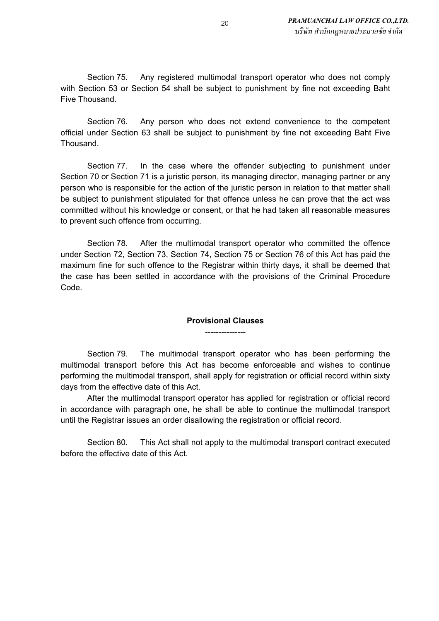Section 75. Any registered multimodal transport operator who does not comply with Section 53 or Section 54 shall be subject to punishment by fine not exceeding Baht Five Thousand.

Section 76. Any person who does not extend convenience to the competent official under Section 63 shall be subject to punishment by fine not exceeding Baht Five Thousand.

Section 77. In the case where the offender subjecting to punishment under Section 70 or Section 71 is a juristic person, its managing director, managing partner or any person who is responsible for the action of the juristic person in relation to that matter shall be subject to punishment stipulated for that offence unless he can prove that the act was committed without his knowledge or consent, or that he had taken all reasonable measures to prevent such offence from occurring.

Section 78. After the multimodal transport operator who committed the offence under Section 72, Section 73, Section 74, Section 75 or Section 76 of this Act has paid the maximum fine for such offence to the Registrar within thirty days, it shall be deemed that the case has been settled in accordance with the provisions of the Criminal Procedure Code.

### **Provisional Clauses** ---------------

Section 79. The multimodal transport operator who has been performing the multimodal transport before this Act has become enforceable and wishes to continue performing the multimodal transport, shall apply for registration or official record within sixty days from the effective date of this Act.

After the multimodal transport operator has applied for registration or official record in accordance with paragraph one, he shall be able to continue the multimodal transport until the Registrar issues an order disallowing the registration or official record.

Section 80. This Act shall not apply to the multimodal transport contract executed before the effective date of this Act.